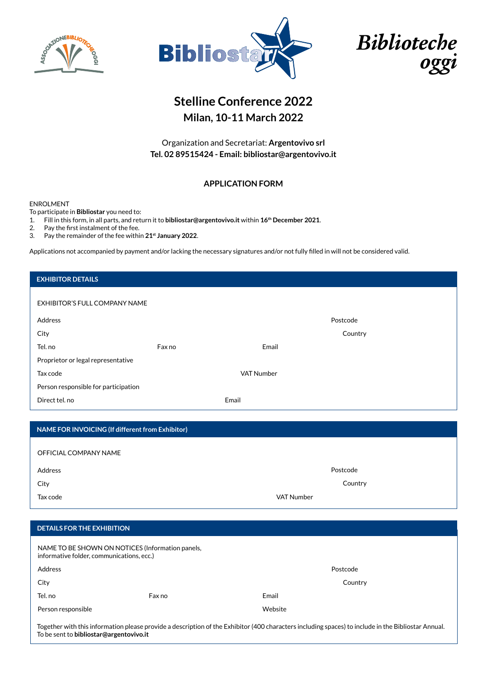



Biblioteche oggi

# **Stelline Conference 2022 Milan, 10-11 March 2022**

Organization and Secretariat: **Argentovivo srl Tel. 02 89515424 - Email: bibliostar@argentovivo.it**

## **APPLICATION FORM**

#### ENROLMENT

To participate in **Bibliostar** you need to:

1. Fill in this form, in all parts, and return it to **bibliostar@argentovivo.it** within **16th December 2021**.

2. Pay the first instalment of the fee.

3. Pay the remainder of the fee within **21st January 2022**.

Applications not accompanied by payment and/or lacking the necessary signatures and/or not fully filled in will not be considered valid.

| <b>EXHIBITOR DETAILS</b>                         |        |                   |          |
|--------------------------------------------------|--------|-------------------|----------|
|                                                  |        |                   |          |
| EXHIBITOR'S FULL COMPANY NAME                    |        |                   |          |
| Address                                          |        |                   | Postcode |
| City                                             |        |                   | Country  |
| Tel. no                                          | Fax no | Email             |          |
| Proprietor or legal representative               |        |                   |          |
| Tax code                                         |        | <b>VAT Number</b> |          |
| Person responsible for participation             |        |                   |          |
| Direct tel. no                                   |        | Email             |          |
|                                                  |        |                   |          |
| NAME FOR INVOICING (If different from Exhibitor) |        |                   |          |
| OFFICIAL COMPANY NAME                            |        |                   |          |
|                                                  |        |                   |          |
| Address                                          |        |                   |          |
|                                                  |        |                   | Postcode |
| City                                             |        |                   | Country  |
| Tax code                                         |        | <b>VAT Number</b> |          |
|                                                  |        |                   |          |
| <b>DETAILS FOR THE EXHIBITION</b>                |        |                   |          |

| Address            |        | Postcode |         |
|--------------------|--------|----------|---------|
| City               |        |          | Country |
| Tel. no            | Fax no | Email    |         |
| Person responsible |        | Website  |         |

Together with this information please provide a description of the Exhibitor (400 characters including spaces) to include in the Bibliostar Annual. To be sent to **bibliostar@argentovivo.it**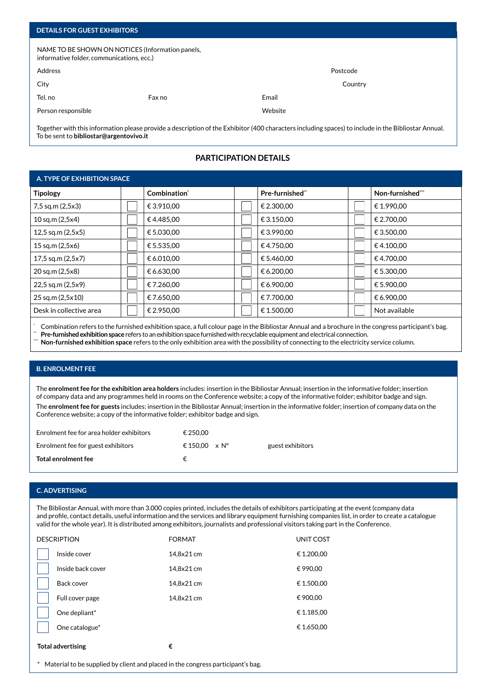| <b>DETAILS FOR GUEST EXHIBITORS</b>                                                           |        |          |         |
|-----------------------------------------------------------------------------------------------|--------|----------|---------|
| NAME TO BE SHOWN ON NOTICES (Information panels,<br>informative folder, communications, ecc.) |        |          |         |
| Address                                                                                       |        | Postcode |         |
| City                                                                                          |        |          | Country |
| Tel. no                                                                                       | Fax no | Email    |         |
| Person responsible                                                                            |        | Website  |         |
|                                                                                               |        |          |         |

Together with this information please provide a description of the Exhibitor (400 characters including spaces) to include in the Bibliostar Annual. To be sent to **bibliostar@argentovivo.it**

## **PARTICIPATION DETAILS**

## **A. TYPE OF EXHIBITION SPACE** Tipology **Combination<sup>\*</sup> Pre-furnished<sup>\*\*</sup> Pre-furnished<sup>\*\*</sup> Non-furnished<sup>\*\*</sup>** 7,5 sq.m (2,5x3)  $\|\cdot\|$   $\in$  3.910,00  $\|\cdot\|$   $\in$  2.300,00  $\|\cdot\|$   $\in$  1.990,00 10 sq.m (2,5x4)  $\|\cdot\|$   $\in$  4.485,00  $\|\cdot\|$   $\in$  3.150,00  $\|\cdot\|$   $\in$  2.700,00 12,5 sq.m (2,5x5)  $\Box$   $\in$  5.030,00  $\Box$   $\in$  3.590,00  $\Box$   $\in$  3.500,00 15 sq.m (2,5x6)  $\|\cdot\|$   $\in$  5.535,00  $\|\cdot\|$   $\in$  4.750,00  $\|\cdot\|$   $\in$  4.100,00 17,5 sq.m (2,5x7)  $\|\cdot\|$   $\in$  6.010,00  $\|\cdot\|$   $\in$  5.460,00  $\|\cdot\|$   $\in$  4.700,00  $20$  sq.m (2,5x8)  $\|\cdot\|$   $\in$  6.630,00  $\|\cdot\|$   $\in$  6.200,00  $\|\cdot\|$   $\in$  5.300,00 22,5 sq.m (2,5x9)  $\|\cdot\|$   $\in$  7.260,00  $\|\cdot\|$   $\in$  6.900,00  $\|\cdot\|$   $\in$  5.900,00  $25$  sq.m (2,5x10)  $\|\cdot\|$   $\in$  7.650,00  $\|\cdot\|$   $\in$  7.700,00  $\|\cdot\|$   $\in$  6.900,00 Desk in collective area  $\|\cdot\|$   $\in$  2.950,00  $\|\cdot\|$   $\in$  1.500,00  $\|\cdot\|$  Not available

Combination refers to the furnished exhibition space, a full colour page in the Bibliostar Annual and a brochure in the congress participant's bag.

\*\* **Pre-furnished exhibition space** refers to an exhibition space furnished with recyclable equipment and electrical connection.

\*\*\* **Non-furnished exhibition space** refers to the only exhibition area with the possibility of connecting to the electricity service column.

#### **B. ENROLMENT FEE**

The **enrolment fee for the exhibition area holders** includes: insertion in the Bibliostar Annual; insertion in the informative folder; insertion of company data and any programmes held in rooms on the Conference website; a copy of the informative folder; exhibitor badge and sign. The **enrolment fee for guests** includes: insertion in the Bibliostar Annual; insertion in the informative folder; insertion of company data on the Conference website; a copy of the informative folder; exhibitor badge and sign.

| Enrolment fee for area holder exhibitors | € 250.00             |                  |
|------------------------------------------|----------------------|------------------|
| Enrolment fee for guest exhibitors       | € 150.00 $\times$ N° | guest exhibitors |
| Total enrolment fee                      |                      |                  |

#### **C. ADVERTISING**

The Bibliostar Annual, with more than 3.000 copies printed, includes the details of exhibitors participating at the event (company data and profile, contact details, useful information and the services and library equipment furnishing companies list, in order to create a catalogue valid for the whole year). It is distributed among exhibitors, journalists and professional visitors taking part in the Conference.

| <b>DESCRIPTION</b>       | <b>FORMAT</b> | UNIT COST  |
|--------------------------|---------------|------------|
| Inside cover             | 14,8x21 cm    | € 1.200,00 |
| Inside back cover        | 14,8x21 cm    | €990,00    |
| Back cover               | 14,8x21 cm    | € 1.500,00 |
| Full cover page          | 14,8x21 cm    | € 900,00   |
| One depliant*            |               | € 1.185,00 |
| One catalogue*           |               | € 1.650,00 |
| <b>Total advertising</b> | €             |            |

Material to be supplied by client and placed in the congress participant's bag.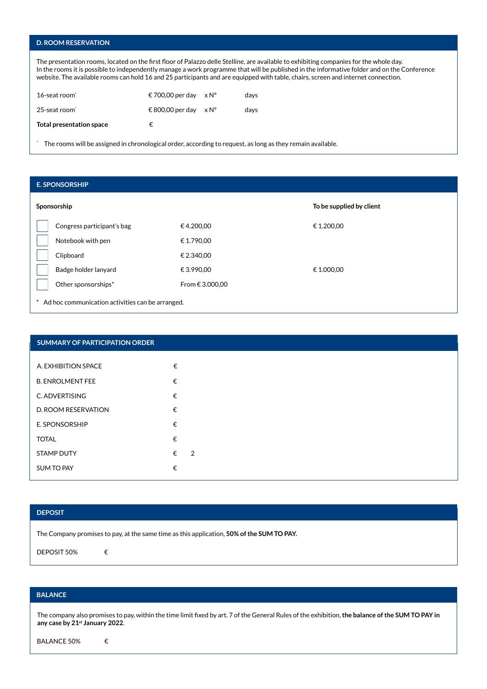### **D. ROOM RESERVATION**

The presentation rooms, located on the first floor of Palazzo delle Stelline, are available to exhibiting companies for the whole day. In the rooms it is possible to independently manage a work programme that will be published in the informative folder and on the Conference website. The available rooms can hold 16 and 25 participants and are equipped with table, chairs, screen and internet connection.

| 16-seat room             | € 700,00 per day                 | $\times N^{\circ}$ | davs |
|--------------------------|----------------------------------|--------------------|------|
| 25-seat room*            | $\in$ 800.00 per day $\times$ N° |                    | davs |
| Total presentation space | €                                |                    |      |

\* The rooms will be assigned in chronological order, according to request, as long as they remain available.

| <b>E. SPONSORSHIP</b>                            |                 |                          |
|--------------------------------------------------|-----------------|--------------------------|
| Sponsorship                                      |                 | To be supplied by client |
| Congress participant's bag                       | €4.200,00       | € 1.200,00               |
| Notebook with pen                                | € 1.790,00      |                          |
| Clipboard                                        | € 2.340,00      |                          |
| Badge holder lanyard                             | € 3.990,00      | € 1.000,00               |
| Other sponsorships*                              | From € 3.000,00 |                          |
| Ad hoc communication activities can be arranged. |                 |                          |

| <b>SUMMARY OF PARTICIPATION ORDER</b> |   |                |
|---------------------------------------|---|----------------|
| A. EXHIBITION SPACE                   | € |                |
| <b>B. ENROLMENT FEE</b>               | € |                |
| C. ADVERTISING                        | € |                |
| D. ROOM RESERVATION                   | € |                |
| E. SPONSORSHIP                        | € |                |
| <b>TOTAL</b>                          | € |                |
| <b>STAMP DUTY</b>                     | € | $\overline{2}$ |
| <b>SUM TO PAY</b>                     | € |                |

#### **DEPOSIT**

The Company promises to pay, at the same time as this application, **50% of the SUM TO PAY.**

DEPOSIT 50% €

## **BALANCE**

The company also promises to pay, within the time limit fixed by art. 7 of the General Rules of the exhibition, **the balance of the SUM TO PAY in any case by 21st January 2022**.

BALANCE 50% €